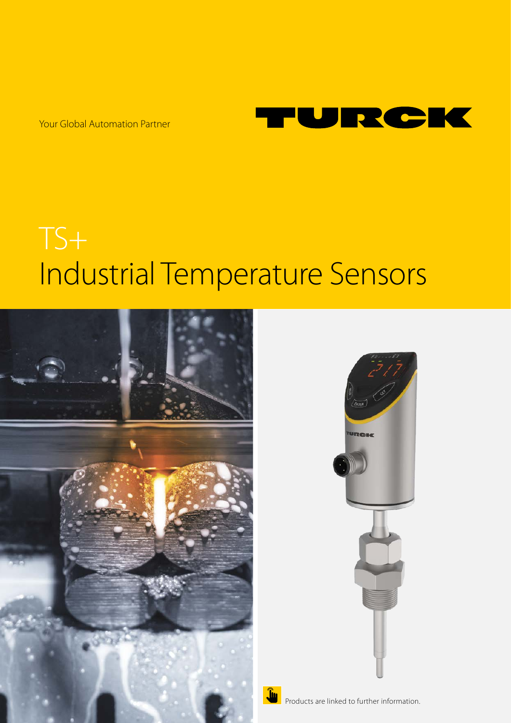Your Global Automation Partner



# TS+ Industrial Temperature Sensors





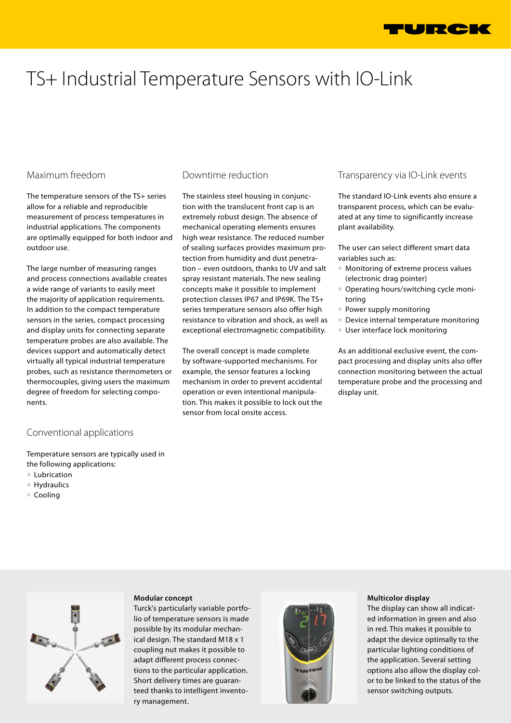

# TS+ Industrial Temperature Sensors with IO-Link

# Maximum freedom

The temperature sensors of the TS+ series allow for a reliable and reproducible measurement of process temperatures in industrial applications. The components are optimally equipped for both indoor and outdoor use.

The large number of measuring ranges and process connections available creates a wide range of variants to easily meet the majority of application requirements. In addition to the compact temperature sensors in the series, compact processing and display units for connecting separate temperature probes are also available. The devices support and automatically detect virtually all typical industrial temperature probes, such as resistance thermometers or thermocouples, giving users the maximum degree of freedom for selecting components.

# Conventional applications

Temperature sensors are typically used in the following applications:

- Lubrication
- Hydraulics
- Cooling

# Downtime reduction

The stainless steel housing in conjunction with the translucent front cap is an extremely robust design. The absence of mechanical operating elements ensures high wear resistance. The reduced number of sealing surfaces provides maximum protection from humidity and dust penetration – even outdoors, thanks to UV and salt spray resistant materials. The new sealing concepts make it possible to implement protection classes IP67 and IP69K. The TS+ series temperature sensors also offer high resistance to vibration and shock, as well as exceptional electromagnetic compatibility.

The overall concept is made complete by software-supported mechanisms. For example, the sensor features a locking mechanism in order to prevent accidental operation or even intentional manipulation. This makes it possible to lock out the sensor from local onsite access.

### Transparency via IO-Link events

The standard IO-Link events also ensure a transparent process, which can be evaluated at any time to significantly increase plant availability.

The user can select different smart data variables such as:

- Monitoring of extreme process values (electronic drag pointer)
- Operating hours/switching cycle monitoring
- Power supply monitoring
- Device internal temperature monitoring
- User interface lock monitoring

As an additional exclusive event, the compact processing and display units also offer connection monitoring between the actual temperature probe and the processing and display unit.



#### **Modular concept**

Turck's particularly variable portfolio of temperature sensors is made possible by its modular mechanical design. The standard M18 x 1 coupling nut makes it possible to adapt different process connections to the particular application. Short delivery times are guaranteed thanks to intelligent inventory management.



#### **Multicolor display**

The display can show all indicated information in green and also in red. This makes it possible to adapt the device optimally to the particular lighting conditions of the application. Several setting options also allow the display color to be linked to the status of the sensor switching outputs.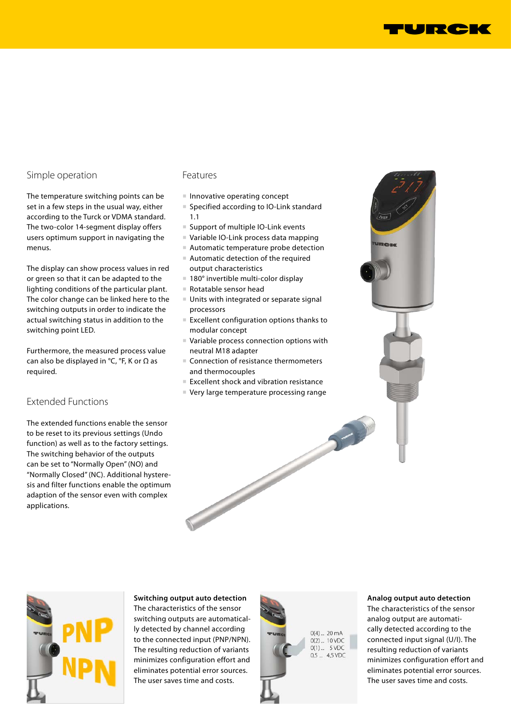

# Simple operation

The temperature switching points can be set in a few steps in the usual way, either according to the Turck or VDMA standard. The two-color 14-segment display offers users optimum support in navigating the menus.

The display can show process values in red or green so that it can be adapted to the lighting conditions of the particular plant. The color change can be linked here to the switching outputs in order to indicate the actual switching status in addition to the switching point LED.

Furthermore, the measured process value can also be displayed in  $°C$ ,  $°F$ , K or  $\Omega$  as required.

# Extended Functions

The extended functions enable the sensor to be reset to its previous settings (Undo function) as well as to the factory settings. The switching behavior of the outputs can be set to "Normally Open" (NO) and "Normally Closed" (NC). Additional hysteresis and filter functions enable the optimum adaption of the sensor even with complex applications.

### Features

- Innovative operating concept
- Specified according to IO-Link standard 1.1
- Support of multiple IO-Link events
- Variable IO-Link process data mapping
- Automatic temperature probe detection ■ Automatic detection of the required output characteristics
- 180° invertible multi-color display
- Rotatable sensor head
- Units with integrated or separate signal processors
- Excellent configuration options thanks to modular concept
- Variable process connection options with neutral M18 adapter
- Connection of resistance thermometers and thermocouples
- Excellent shock and vibration resistance
- Very large temperature processing range



**Switching output auto detection**  The characteristics of the sensor switching outputs are automatically detected by channel according to the connected input (PNP/NPN). The resulting reduction of variants minimizes configuration effort and eliminates potential error sources. The user saves time and costs.



#### **Analog output auto detection**

The characteristics of the sensor analog output are automatically detected according to the connected input signal (U/I). The resulting reduction of variants minimizes configuration effort and eliminates potential error sources. The user saves time and costs.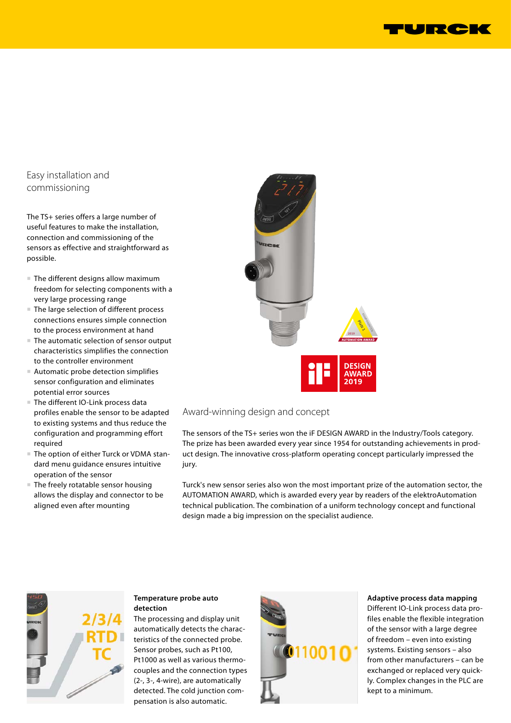

# Easy installation and commissioning

The TS+ series offers a large number of useful features to make the installation, connection and commissioning of the sensors as effective and straightforward as possible.

- The different designs allow maximum freedom for selecting components with a very large processing range
- The large selection of different process connections ensures simple connection to the process environment at hand
- The automatic selection of sensor output characteristics simplifies the connection to the controller environment
- Automatic probe detection simplifies sensor configuration and eliminates potential error sources
- The different IO-Link process data profiles enable the sensor to be adapted to existing systems and thus reduce the configuration and programming effort required
- The option of either Turck or VDMA standard menu guidance ensures intuitive operation of the sensor
- The freely rotatable sensor housing allows the display and connector to be aligned even after mounting



# Award-winning design and concept

The sensors of the TS+ series won the iF DESIGN AWARD in the Industry/Tools category. The prize has been awarded every year since 1954 for outstanding achievements in product design. The innovative cross-platform operating concept particularly impressed the jury.

Turck's new sensor series also won the most important prize of the automation sector, the AUTOMATION AWARD, which is awarded every year by readers of the elektroAutomation technical publication. The combination of a uniform technology concept and functional design made a big impression on the specialist audience.



#### **Temperature probe auto detection**

The processing and display unit automatically detects the characteristics of the connected probe. Sensor probes, such as Pt100, Pt1000 as well as various thermocouples and the connection types (2-, 3-, 4-wire), are automatically detected. The cold junction compensation is also automatic.



## **Adaptive process data mapping** Different IO-Link process data profiles enable the flexible integration of the sensor with a large degree of freedom – even into existing systems. Existing sensors – also from other manufacturers – can be exchanged or replaced very quickly. Complex changes in the PLC are kept to a minimum.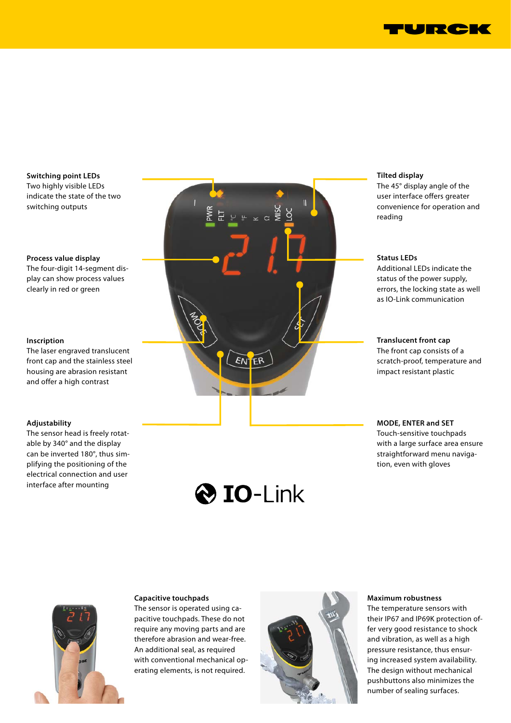

**Switching point LEDs** Two highly visible LEDs indicate the state of the two switching outputs

#### **Process value display**

The four-digit 14-segment display can show process values clearly in red or green

#### **Inscription**

The laser engraved translucent front cap and the stainless steel housing are abrasion resistant and offer a high contrast

#### **Adjustability**

The sensor head is freely rotatable by 340° and the display can be inverted 180°, thus simplifying the positioning of the electrical connection and user interface after mounting



#### **Tilted display**

The 45° display angle of the user interface offers greater convenience for operation and reading

#### **Status LEDs**

Additional LEDs indicate the status of the power supply, errors, the locking state as well as IO-Link communication

#### **Translucent front cap**

The front cap consists of a scratch-proof, temperature and impact resistant plastic

# **MODE, ENTER and SET**

Touch-sensitive touchpads with a large surface area ensure straightforward menu navigation, even with gloves





#### **Capacitive touchpads**

The sensor is operated using capacitive touchpads. These do not require any moving parts and are therefore abrasion and wear-free. An additional seal, as required with conventional mechanical operating elements, is not required.



#### **Maximum robustness**

The temperature sensors with their IP67 and IP69K protection offer very good resistance to shock and vibration, as well as a high pressure resistance, thus ensuring increased system availability. The design without mechanical pushbuttons also minimizes the number of sealing surfaces.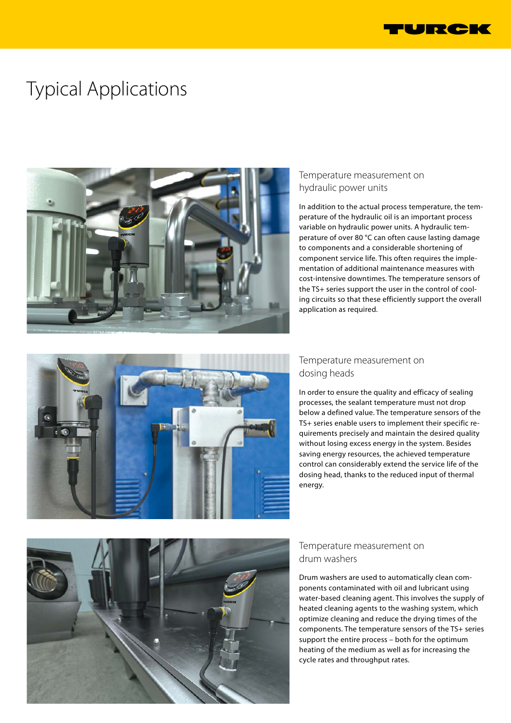

# Typical Applications



# Temperature measurement on hydraulic power units

In addition to the actual process temperature, the temperature of the hydraulic oil is an important process variable on hydraulic power units. A hydraulic temperature of over 80 °C can often cause lasting damage to components and a considerable shortening of component service life. This often requires the implementation of additional maintenance measures with cost-intensive downtimes. The temperature sensors of the TS+ series support the user in the control of cooling circuits so that these efficiently support the overall application as required.



# Temperature measurement on dosing heads

In order to ensure the quality and efficacy of sealing processes, the sealant temperature must not drop below a defined value. The temperature sensors of the TS+ series enable users to implement their specific requirements precisely and maintain the desired quality without losing excess energy in the system. Besides saving energy resources, the achieved temperature control can considerably extend the service life of the dosing head, thanks to the reduced input of thermal energy.



# Temperature measurement on drum washers

Drum washers are used to automatically clean components contaminated with oil and lubricant using water-based cleaning agent. This involves the supply of heated cleaning agents to the washing system, which optimize cleaning and reduce the drying times of the components. The temperature sensors of the TS+ series support the entire process – both for the optimum heating of the medium as well as for increasing the cycle rates and throughput rates.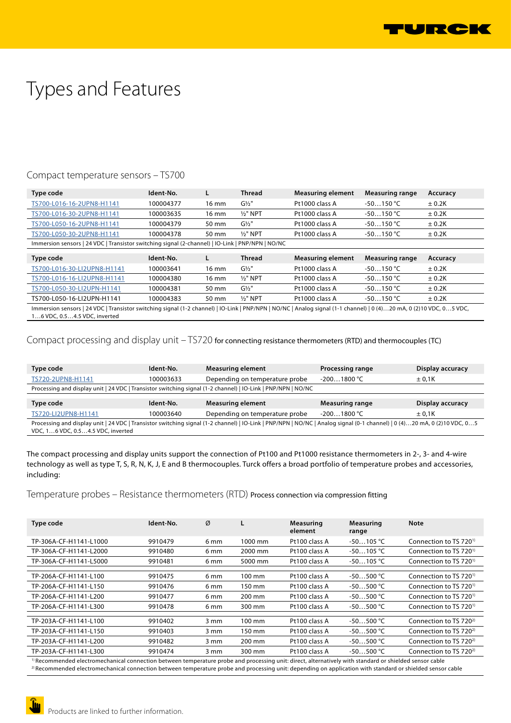

# Types and Features

# Compact temperature sensors – TS700

| Type code                                                                                        | Ident-No. |       | <b>Thread</b>    | <b>Measuring element</b> | <b>Measuring range</b> | Accuracy |
|--------------------------------------------------------------------------------------------------|-----------|-------|------------------|--------------------------|------------------------|----------|
| TS700-L016-16-2UPN8-H1141                                                                        | 100004377 | 16 mm | $G\frac{1}{2}$ " | Pt1000 class A           | $-50150 °C$            | ± 0.2K   |
| TS700-L016-30-2UPN8-H1141                                                                        | 100003635 | 16 mm | $1/2$ " NPT      | Pt1000 class A           | $-50150 °C$            | ± 0.2K   |
| TS700-L050-16-2UPN8-H1141                                                                        | 100004379 | 50 mm | $G\frac{1}{2}$ " | Pt1000 class A           | $-50150 °C$            | ± 0.2K   |
| TS700-L050-30-2UPN8-H1141                                                                        | 100004378 | 50 mm | $1/2$ " NPT      | Pt1000 class A           | $-50150 °C$            | ± 0.2K   |
| Immersion sensors   24 VDC   Transistor switching signal (2-channel)   IO-Link   PNP/NPN   NO/NC |           |       |                  |                          |                        |          |
|                                                                                                  | Ident-No. |       | <b>Thread</b>    |                          |                        |          |
| Type code                                                                                        |           |       |                  | <b>Measuring element</b> | <b>Measuring range</b> | Accuracy |
| TS700-L016-30-LI2UPN8-H1141                                                                      | 100003641 | 16 mm | $G\frac{1}{2}$ " | Pt1000 class A           | $-50150 °C$            | ± 0.2K   |
| TS700-L016-16-LI2UPN8-H1141                                                                      | 100004380 | 16 mm | $1/2$ " NPT      | Pt1000 class A           | $-50150 °C$            | ± 0.2K   |

TS700-L050-16-LI2UPN-H1141 100004383 50 mm ½" NPT Pt1000 class A -50…150 °C ± 0.2K Immersion sensors | 24 VDC | Transistor switching signal (1-2 channel) | IO-Link | PNP/NPN | NO/NC | Analog signal (1-1 channel) | 0 (4)…20 mA, 0 (2)10 VDC, 0…5 VDC, 1…6 VDC, 0.5…4.5 VDC, inverted

Compact processing and display unit – TS720 for connecting resistance thermometers (RTD) and thermocouples (TC)

[TS700-L050-30-LI2UPN-H1141](https://www.turck.de/en/product/0000004d000017aa0001003a) 100004381 50 mm G½" Pt1000 class A -50…150 °C ± 0.2K

| Type code                                                                                                    | Ident-No. | <b>Measuring element</b>                                                                                                                                                 | <b>Processing range</b> | Display accuracy |  |  |  |
|--------------------------------------------------------------------------------------------------------------|-----------|--------------------------------------------------------------------------------------------------------------------------------------------------------------------------|-------------------------|------------------|--|--|--|
| TS720-2UPN8-H1141                                                                                            | 100003633 | Depending on temperature probe                                                                                                                                           | $-2001800 °C$           | ± 0.1K           |  |  |  |
| Processing and display unit   24 VDC   Transistor switching signal (1-2 channel)   IO-Link   PNP/NPN   NO/NC |           |                                                                                                                                                                          |                         |                  |  |  |  |
|                                                                                                              |           |                                                                                                                                                                          |                         |                  |  |  |  |
|                                                                                                              |           |                                                                                                                                                                          |                         |                  |  |  |  |
| Type code                                                                                                    | Ident-No. | <b>Measuring element</b>                                                                                                                                                 | <b>Measuring range</b>  | Display accuracy |  |  |  |
| TS720-LI2UPN8-H1141                                                                                          | 100003640 | Depending on temperature probe                                                                                                                                           | $-2001800 °C$           | ± 0.1K           |  |  |  |
|                                                                                                              |           | Processing and display unit   24 VDC   Transistor switching signal (1-2 channel)   IO-Link   PNP/NPN   NO/NC   Analog signal (0-1 channel)   0 (4)20 mA, 0 (2)10 VDC, 05 |                         |                  |  |  |  |

The compact processing and display units support the connection of Pt100 and Pt1000 resistance thermometers in 2-, 3- and 4-wire technology as well as type T, S, R, N, K, J, E and B thermocouples. Turck offers a broad portfolio of temperature probes and accessories, including:

Temperature probes – Resistance thermometers (RTD) Process connection via compression fitting

| Type code              | Ident-No. | Ø                |                  | <b>Measuring</b><br>element | <b>Measuring</b><br>range | <b>Note</b>                        |
|------------------------|-----------|------------------|------------------|-----------------------------|---------------------------|------------------------------------|
| TP-306A-CF-H1141-L1000 | 9910479   | 6 <sub>mm</sub>  | 1000 mm          | Pt100 class A               | $-50105 °C$               | Connection to TS 720 <sup>1)</sup> |
| TP-306A-CF-H1141-L2000 | 9910480   | 6 mm             | 2000 mm          | Pt100 class A               | $-50105 °C$               | Connection to TS 720 <sup>1)</sup> |
| TP-306A-CF-H1141-L5000 | 9910481   | 6 mm             | 5000 mm          | Pt100 class A               | $-50105$ °C               | Connection to TS 720 <sup>1)</sup> |
|                        |           |                  |                  |                             |                           |                                    |
| TP-206A-CF-H1141-L100  | 9910475   | 6 mm             | $100 \text{ mm}$ | Pt100 class A               | $-50500$ °C               | Connection to TS 720 <sup>1)</sup> |
| TP-206A-CF-H1141-L150  | 9910476   | 6 mm             | 150 mm           | Pt100 class A               | $-50500 °C$               | Connection to TS 720 <sup>1)</sup> |
| TP-206A-CF-H1141-L200  | 9910477   | 6 mm             | 200 mm           | Pt100 class A               | $-50500 °C$               | Connection to TS 720 <sup>1)</sup> |
| TP-206A-CF-H1141-L300  | 9910478   | 6 mm             | 300 mm           | Pt100 class A               | $-50500 °C$               | Connection to TS 720 <sup>1)</sup> |
|                        |           |                  |                  |                             |                           |                                    |
| TP-203A-CF-H1141-L100  | 9910402   | $3 \, \text{mm}$ | $100 \text{ mm}$ | Pt100 class A               | $-50500 °C$               | Connection to TS 720 <sup>2)</sup> |
| TP-203A-CF-H1141-L150  | 9910403   | 3 mm             | 150 mm           | Pt100 class A               | $-50500 °C$               | Connection to TS 720 <sup>2)</sup> |
| TP-203A-CF-H1141-L200  | 9910482   | 3 mm             | 200 mm           | Pt100 class A               | $-50500 °C$               | Connection to TS 720 <sup>2)</sup> |
| TP-203A-CF-H1141-L300  | 9910474   | 3 mm             | 300 mm           | Pt100 class A               | $-50500$ °C               | Connection to TS 720 <sup>2)</sup> |

<sup>1)</sup> Recommended electromechanical connection between temperature probe and processing unit: direct, alternatively with standard or shielded sensor cable 2) Recommended electromechanical connection between temperature probe and processing unit: depending on application with standard or shielded sensor cable